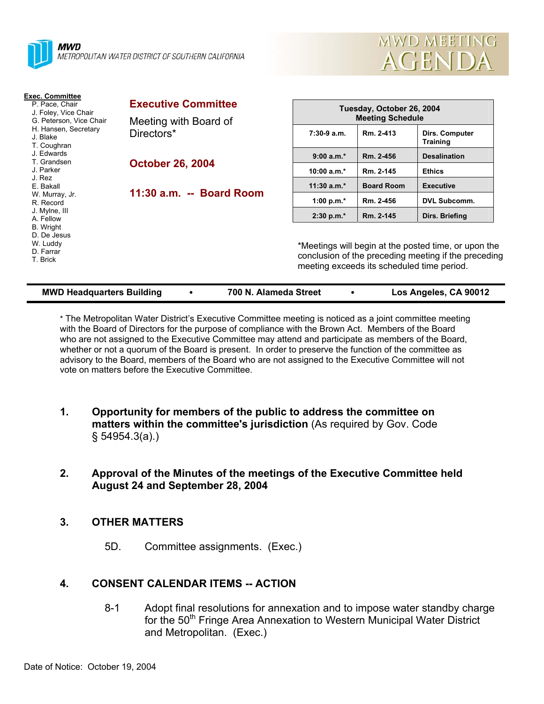



| <b>Exec. Committee</b><br>P. Pace, Chair<br>J. Foley, Vice Chair<br>G. Peterson, Vice Chair<br>H. Hansen, Secretary<br>J. Blake<br>T. Coughran | <b>Executive Committee</b>                                     | Tuesday, October 26, 2004<br><b>Meeting Schedule</b>                                                                                                       |                   |                                   |
|------------------------------------------------------------------------------------------------------------------------------------------------|----------------------------------------------------------------|------------------------------------------------------------------------------------------------------------------------------------------------------------|-------------------|-----------------------------------|
|                                                                                                                                                | Meeting with Board of<br>Directors*<br><b>October 26, 2004</b> |                                                                                                                                                            |                   |                                   |
|                                                                                                                                                |                                                                | $7:30-9$ a.m.                                                                                                                                              | Rm. 2-413         | Dirs. Computer<br><b>Training</b> |
| J. Edwards                                                                                                                                     |                                                                | $9:00 a.m.*$                                                                                                                                               | Rm. 2-456         | <b>Desalination</b>               |
| T. Grandsen<br>J. Parker<br>J. Rez<br>E. Bakall<br>W. Murray, Jr.<br>R. Record                                                                 |                                                                | 10:00 a.m.*                                                                                                                                                | Rm. 2-145         | <b>Ethics</b>                     |
|                                                                                                                                                | 11:30 a.m. -- Board Room                                       | $11:30$ a.m.*                                                                                                                                              | <b>Board Room</b> | <b>Executive</b>                  |
|                                                                                                                                                |                                                                | 1:00 p.m. $*$                                                                                                                                              | Rm. 2-456         | <b>DVL Subcomm.</b>               |
| J. Mylne, III<br>A. Fellow                                                                                                                     |                                                                | $2:30 p.m.*$                                                                                                                                               | Rm. 2-145         | Dirs. Briefing                    |
| <b>B.</b> Wright<br>D. De Jesus<br>W. Luddy<br>D. Farrar<br>T. Brick                                                                           |                                                                | *Meetings will begin at the posted time, or upon the<br>conclusion of the preceding meeting if the preceding<br>meeting exceeds its scheduled time period. |                   |                                   |

\* The Metropolitan Water District's Executive Committee meeting is noticed as a joint committee meeting with the Board of Directors for the purpose of compliance with the Brown Act. Members of the Board

**MWD Headquarters Building** y **700 N. Alameda Street** y **Los Angeles, CA 90012** 

who are not assigned to the Executive Committee may attend and participate as members of the Board, whether or not a quorum of the Board is present. In order to preserve the function of the committee as advisory to the Board, members of the Board who are not assigned to the Executive Committee will not vote on matters before the Executive Committee.

- **1. Opportunity for members of the public to address the committee on matters within the committee's jurisdiction** (As required by Gov. Code § 54954.3(a).)
- **2. Approval of the Minutes of the meetings of the Executive Committee held August 24 and September 28, 2004**

### **3. OTHER MATTERS**

5D. Committee assignments. (Exec.)

### **4. CONSENT CALENDAR ITEMS -- ACTION**

8-1 Adopt final resolutions for annexation and to impose water standby charge for the 50<sup>th</sup> Fringe Area Annexation to Western Municipal Water District and Metropolitan. (Exec.)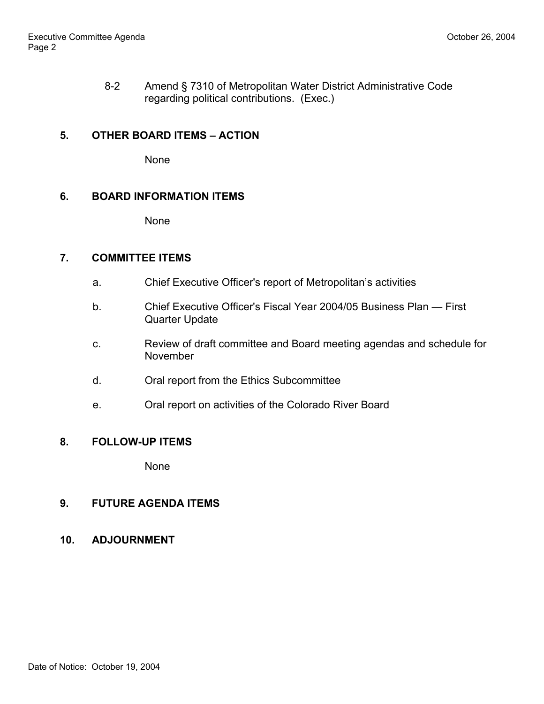8-2 Amend § 7310 of Metropolitan Water District Administrative Code regarding political contributions. (Exec.)

### **5. OTHER BOARD ITEMS – ACTION**

None

### **6. BOARD INFORMATION ITEMS**

None

### **7. COMMITTEE ITEMS**

- a. Chief Executive Officer's report of Metropolitan's activities
- b. Chief Executive Officer's Fiscal Year 2004/05 Business Plan First Quarter Update
- c. Review of draft committee and Board meeting agendas and schedule for November
- d. Oral report from the Ethics Subcommittee
- e. Oral report on activities of the Colorado River Board

## **8. FOLLOW-UP ITEMS**

None

# **9. FUTURE AGENDA ITEMS**

**10. ADJOURNMENT**